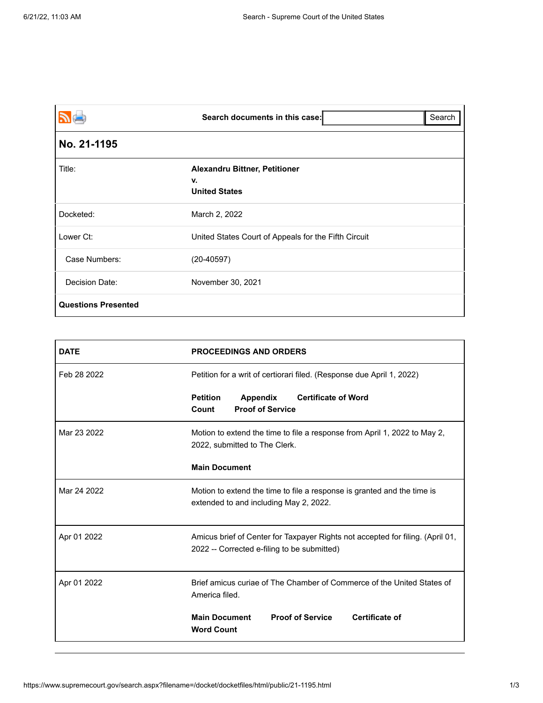| <b>PE</b>                  | Search documents in this case:                                     | Search |
|----------------------------|--------------------------------------------------------------------|--------|
| No. 21-1195                |                                                                    |        |
| Title:                     | <b>Alexandru Bittner, Petitioner</b><br>v.<br><b>United States</b> |        |
| Docketed:                  | March 2, 2022                                                      |        |
| Lower Ct:                  | United States Court of Appeals for the Fifth Circuit               |        |
| Case Numbers:              | $(20-40597)$                                                       |        |
| Decision Date:             | November 30, 2021                                                  |        |
| <b>Questions Presented</b> |                                                                    |        |

| <b>DATE</b> | <b>PROCEEDINGS AND ORDERS</b>                                                                                                 |  |  |
|-------------|-------------------------------------------------------------------------------------------------------------------------------|--|--|
| Feb 28 2022 | Petition for a writ of certiorari filed. (Response due April 1, 2022)                                                         |  |  |
|             | <b>Certificate of Word</b><br><b>Petition</b><br><b>Appendix</b><br><b>Proof of Service</b><br>Count                          |  |  |
| Mar 23 2022 | Motion to extend the time to file a response from April 1, 2022 to May 2,<br>2022, submitted to The Clerk.                    |  |  |
|             | <b>Main Document</b>                                                                                                          |  |  |
| Mar 24 2022 | Motion to extend the time to file a response is granted and the time is<br>extended to and including May 2, 2022.             |  |  |
| Apr 01 2022 | Amicus brief of Center for Taxpayer Rights not accepted for filing. (April 01,<br>2022 -- Corrected e-filing to be submitted) |  |  |
| Apr 01 2022 | Brief amicus curiae of The Chamber of Commerce of the United States of<br>America filed.                                      |  |  |
|             | <b>Proof of Service</b><br><b>Certificate of</b><br><b>Main Document</b><br><b>Word Count</b>                                 |  |  |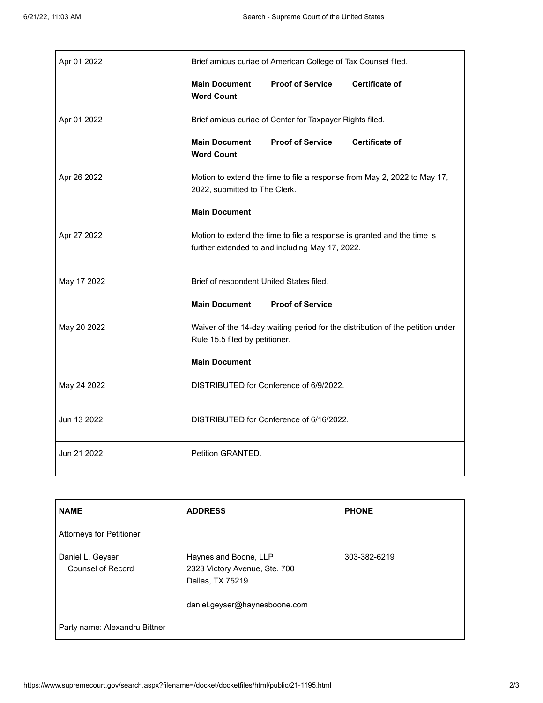| Apr 01 2022 | Brief amicus curiae of American College of Tax Counsel filed.                                                              |                         |                       |
|-------------|----------------------------------------------------------------------------------------------------------------------------|-------------------------|-----------------------|
|             | <b>Main Document</b><br><b>Word Count</b>                                                                                  | <b>Proof of Service</b> | <b>Certificate of</b> |
| Apr 01 2022 | Brief amicus curiae of Center for Taxpayer Rights filed.                                                                   |                         |                       |
|             | <b>Main Document</b><br><b>Word Count</b>                                                                                  | <b>Proof of Service</b> | <b>Certificate of</b> |
| Apr 26 2022 | Motion to extend the time to file a response from May 2, 2022 to May 17,<br>2022, submitted to The Clerk.                  |                         |                       |
|             | <b>Main Document</b>                                                                                                       |                         |                       |
| Apr 27 2022 | Motion to extend the time to file a response is granted and the time is<br>further extended to and including May 17, 2022. |                         |                       |
| May 17 2022 | Brief of respondent United States filed.                                                                                   |                         |                       |
|             | <b>Main Document</b>                                                                                                       | <b>Proof of Service</b> |                       |
| May 20 2022 | Waiver of the 14-day waiting period for the distribution of the petition under<br>Rule 15.5 filed by petitioner.           |                         |                       |
|             | <b>Main Document</b>                                                                                                       |                         |                       |
| May 24 2022 | DISTRIBUTED for Conference of 6/9/2022.                                                                                    |                         |                       |
| Jun 13 2022 | DISTRIBUTED for Conference of 6/16/2022.                                                                                   |                         |                       |
| Jun 21 2022 | Petition GRANTED.                                                                                                          |                         |                       |

| <b>NAME</b>                           | <b>ADDRESS</b>                                                             | <b>PHONE</b> |
|---------------------------------------|----------------------------------------------------------------------------|--------------|
| <b>Attorneys for Petitioner</b>       |                                                                            |              |
| Daniel L. Geyser<br>Counsel of Record | Haynes and Boone, LLP<br>2323 Victory Avenue, Ste. 700<br>Dallas, TX 75219 | 303-382-6219 |
|                                       | daniel.geyser@haynesboone.com                                              |              |
| Party name: Alexandru Bittner         |                                                                            |              |